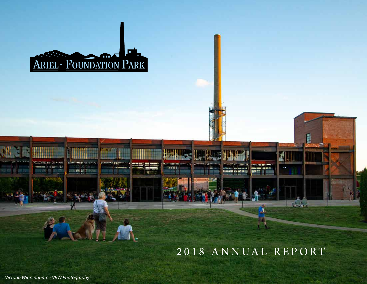

# 2018 ANNUAL REPORT

**CONTRACTOR** 

**CONTRACTOR** 

原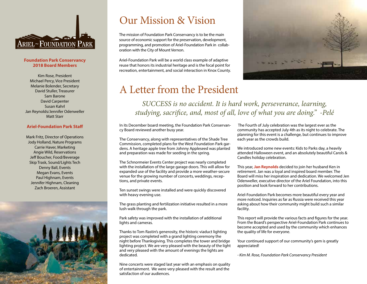

#### **Foundation Park Conservancy 2018 Board Members**

Kim Rose, President Michael Percy, Vice President Melanie Bolender, Secretary David Stuller, Treasurer Sam Barone David Carpenter Susan Kahrl Jan Reynolds/Jennifer Odenweller Matt Starr

#### **Ariel-Foundation Park Staff**

Mark Fritz, Director of Operations Jody Holland, Nature Programs Carrie Haver, Marketing Angie Wild, Reservations Jeff Boucher, Food/Beverage Skip Trask, Sound/Lights Tech Denny Ball, Events Megan Evans, Events Paul Highnam, Events Jennifer Highnam, Cleaning Zach Broeren, Assistant



## Our Mission & Vision

The mission of Foundation Park Conservancy is to be the main source of economic support for the preservation, development, programming, and promotion of Ariel-Foundation Park in collaboration with the City of Mount Vernon.

Ariel-Foundation Park will be a world class example of adaptive reuse that honors its industrial heritage and is the focal point for recreation, entertainment, and social interaction in Knox County.



## A Letter from the President

*SUCCESS is no accident. It is hard work, perseverance, learning, studying, sacrifice, and, most of all, love of what you are doing." -Pelé*

In its December board meeting, the Foundation Park Conservancy Board reviewed another busy year.

The Conservancy, along with representatives of the Shade Tree Commission, completed plans for the West Foundation Park gardens. A heritage apple tree from Johnny Appleseed was planted and preparation was made for seeding in the spring.

The Schnormeier Events Center project was nearly completed with the installation of the large garage doors. This will allow for expanded use of the facility and provide a more weather-secure venue for the growing number of concerts, weddings, receptions, and private events.

Ten sunset swings were installed and were quickly discovered with heavy evening use.

The grass planting and fertilization initiative resulted in a more lush walk through the park.

Park safety was improved with the installation of additional lights and cameras.

Thanks to Tom Rastin's generosity, the historic viaduct lighting project was completed with a grand lighting ceremony the night before Thanksgiving. This completes the tower and bridge lighting project. We are very pleased with the beauty of the light and very pleased with the amount of evenings the lights are dedicated.

Nine concerts were staged last year with an emphasis on quality of entertainment. We were very pleased with the result and the satisfaction of our audiences.

 The Fourth of July celebration was the largest ever as the community has accepted July 4th as its night to celebrate. The planning for this event is a challenge, but continues to improve each year as the crowds build.

We introduced some new events: Kids to Parks day, a heavily attended Halloween event, and an absolutely beautiful Carols & Candles holiday celebration.

This year, **Jan Reynolds** decided to join her husband Ken in retirement. Jan was a loyal and inspired board member. The Board will miss her inspiration and dedication. We welcomed Jen Odenweller, executive director of the Ariel Foundation, into this position and look forward to her contributions.

Ariel-Foundation Park becomes more beautiful every year and more noticed. Inquiries as far as Russia were received this year asking about how their community might build such a similar facility.

This report will provide the various facts and figures for the year. From the Board's perspective Ariel-Foundation Park continues to become accepted and used by the community which enhances the quality of life for everyone.

Your continued support of our community's gem is greatly appreciated!

*- Kim M. Rose, Foundation Park Conservancy President*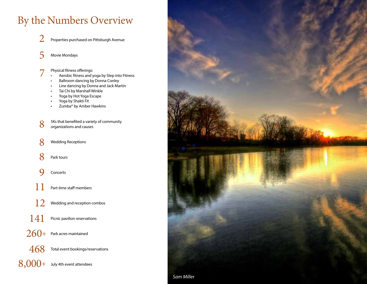# By the Numbers Overview

- Properties purchased on Pittsburgh Avenue 2
- Movie Mondays 5
- 7 Physical fitness offerings:
	- Aerobic fitness and yoga by Step into Fitness
	- Ballroom dancing by Donna Conley
	- Line dancing by Donna and Jack Martin
	- Tai Chi by Marshall Winkle
	- Yoga by Hot Yoga Escape
	- Yoga by Shakti Fit
	- Zumba® by Amber Hawkins
- 8 5Ks that benefited a variety of community organizations and causes
- Wedding Receptions 8
- Park tours 8
- Concerts 9
- Part-time staff members 11
- Wedding and reception combos 12
- Picnic pavilion reservations 141
- $260\pm$  Park acres maintained
- $\,468\,$  Total event bookings/reservations
- $8,000+$  July 4th event attendees

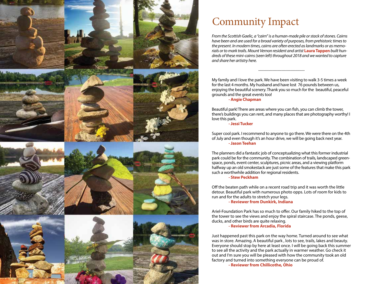

# Community Impact

*From the Scottish Gaelic, a "cairn" is a human-made pile or stack of stones. Cairns have been and are used for a broad variety of purposes, from prehistoric times to the present. In modern times, cairns are often erected as landmarks or as memorials or to mark trails. Mount Vernon resident and artist* **Laura Tappen** *built hundreds of these mini-cairns (seen left) throughout 2018 and we wanted to capture and share her artistry here.* 

My family and I love the park. We have been visiting to walk 3-5 times a week for the last 4 months. My husband and have lost 76 pounds between us, enjoying the beautiful scenery. Thank you so much for the beautiful, peaceful grounds and the great events too! **- Angie Chapman**

------------------------------------

Beautiful park! There are areas where you can fish, you can climb the tower, there's buildings you can rent, and many places that are photography worthy! I love this park.

**- Jessi Tucker**

Super cool park. I recommend to anyone to go there. We were there on the 4th of July and even though it's an hour drive, we will be going back next year. **- Jason Teehan**

The planners did a fantastic job of conceptualizing what this former industrial park could be for the community. The combination of trails, landscaped greenspace, ponds, event center, sculptures, picnic areas, and a viewing platform halfway up an old smokestack are just some of the features that make this park such a worthwhile addition for regional residents. **- Stew Peckham**

Off the beaten path while on a recent road trip and it was worth the little detour. Beautiful park with numerous photo opps. Lots of room for kids to run and for the adults to stretch your legs.

**- Reviewer from Dunkirk, Indiana**

Ariel-Foundation Park has so much to offer. Our family hiked to the top of the tower to see the views and enjoy the spiral staircase. The ponds, geese, ducks, and other birds are quite relaxing.

**- Reviewer from Arcadia, Florida**

Just happened past this park on the way home. Turned around to see what was in store. Amazing. A beautiful park , lots to see, trails, lakes and beauty. Everyone should stop by here at least once. I will be going back this summer to see all the activity and the park actually in warmer weather. Go check it out and I'm sure you will be pleased with how the community took an old factory and turned into something everyone can be proud of. **- Reviewer from Chillicothe, Ohio**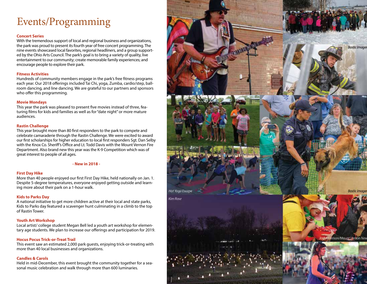# Events/Programming

#### **Concert Series**

With the tremendous support of local and regional business and organizations, the park was proud to present its fourth year of free concert programming. The nine events showcased local favorites, regional headliners, and a group supported by the Ohio Arts Council. The park's goal is to bring a variety of quality, live entertainment to our community; create memorable family experiences; and encourage people to explore their park.

#### **Fitness Activities**

Hundreds of community members engage in the park's free fitness programs each year. Our 2018 offerings included Tai Chi, yoga, Zumba, cardio/step, ballroom dancing, and line dancing. We are grateful to our partners and sponsors who offer this programming.

#### **Movie Mondays**

This year the park was pleased to present five movies instead of three, featuring films for kids and families as well as for "date night" or more mature audiences.

#### **Rastin Challenge**

This year brought more than 80 first responders to the park to compete and celebrate camaraderie through the Rastin Challenge. We were excited to award our first scholarships for higher education to local first responders Sgt. Dan Selby with the Knox Co. Sheriff's Office and Lt. Todd Davis with the Mount Vernon Fire Department. Also brand new this year was the K-9 Competition which was of great interest to people of all ages.

#### **- New in 2018 -**

#### **First Day Hike**

More than 40 people enjoyed our first First Day Hike, held nationally on Jan. 1. Despite 5-degree temperatures, everyone enjoyed getting outside and learning more about their park on a 1-hour walk.

#### **Kids to Parks Day**

A national initiative to get more children active at their local and state parks, Kids to Parks day featured a scavenger hunt culminating in a climb to the top of Rastin Tower.

#### **Youth Art Workshop**

Local artist/ college student Megan Bell led a youth art workshop for elementary age students. We plan to increase our offerings and participation for 2019.

#### **Hocus Pocus Trick-or-Treat Trail**

This event saw an estimated 2,000 park guests, enjoying trick-or-treating with more than 40 local businesses and organizations.

#### **Candles & Carols**

Held in mid-December, this event brought the community together for a seasonal music celebration and walk through more than 600 luminaries.

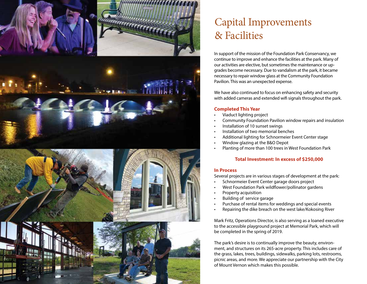

# Capital Improvements & Facilities

In support of the mission of the Foundation Park Conservancy, we continue to improve and enhance the facilities at the park. Many of our activities are elective, but sometimes the maintenance or upgrades become necessary. Due to vandalism at the park, it became necessary to repair window glass at the Community Foundation Pavilion. This was an unexpected expense.

We have also continued to focus on enhancing safety and security with added cameras and extended wifi signals throughout the park.

#### **Completed This Year**

- Viaduct lighting project
- Community Foundation Pavilion window repairs and insulation
- Installation of 10 sunset swings
- Installation of two memorial benches
- Additional lighting for Schnormeier Event Center stage
- Window glazing at the B&O Depot
- Planting of more than 100 trees in West Foundation Park

#### **Total Investment: In excess of \$250,000**

#### **In Process**

Several projects are in various stages of development at the park:

- Schnormeier Event Center garage doors project
- West Foundation Park wildflower/pollinator gardens
- Property acquisition
- Building of service garage
- Purchase of rental items for weddings and special events
- Repairing the dike breach on the west lake/Kokosing River

Mark Fritz, Operations Director, is also serving as a loaned executive to the accessible playground project at Memorial Park, which will be completed in the spring of 2019.

The park's desire is to continually improve the beauty, environment, and structures on its 265-acre property. This includes care of the grass, lakes, trees, buildings, sidewalks, parking lots, restrooms, picnic areas, and more. We appreciate our partnership with the City of Mount Vernon which makes this possible.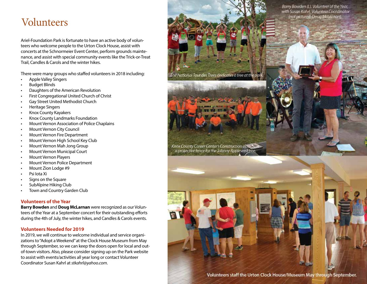## Volunteers

Ariel-Foundation Park is fortunate to have an active body of volunteers who welcome people to the Urton Clock House, assist with concerts at the Schnormeier Event Center, perform grounds maintenance, and assist with special community events like the Trick-or-Treat Trail, Candles & Carols and the winter hikes.

There were many groups who staffed volunteers in 2018 including:

- Apple Valley Singers
- Budget Blinds
- Daughters of the American Revolution
- First Congregational United Church of Christ
- Gay Street United Methodist Church
- Heritage Singers
- Knox County Kayakers
- Knox County Landmarks Foundation
- Mount Vernon Association of Police Chaplains
- Mount Vernon City Council
- Mount Vernon Fire Department
- Mount Vernon High School Key Club
- Mount Vernon Mah Jong Group
- Mount Vernon Municipal Court
- Mount Vernon Players
- Mount Vernon Police Department
- Mount Zion Lodge #9
- Psi Iota Xi
- Signs on the Square
- SubAlpine Hiking Club
- Town and Country Garden Club

#### **Volunteers of the Year**

**Barry Bowden** and **Doug McLarnan** were recognized as our Volunteers of the Year at a September concert for their outstanding efforts during the 4th of July, the winter hikes, and Candles & Carols events.

#### **Volunteers Needed for 2019**

In 2019, we will continue to welcome individual and service organizations to "Adopt a Weekend" at the Clock House Museum from May through September, so we can keep the doors open for local and outof-town visitors. Also, please consider signing up on the Park website to assist with events/activities all year long or contact Volunteer Coordinator Susan Kahrl at *stkahrl@yahoo.com*.

Barry Bowden (L), Volunteer of the Year, with Susan Kahrl, Volunteer Coordinator (not pictured: Doug McLaman).

The National Tour des Trees dedicates a tree at the park

Knox County Career Center's Construction class built a protective fence for the Johnny Appleseed tree.

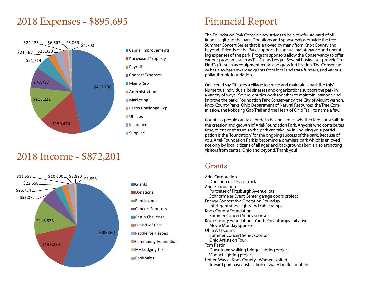## 2018 Expenses - \$895,695



## 2018 Income - \$872,201



# Financial Report

The Foundation Park Conservancy strives to be a careful steward of all financial gifts to the park. Donations and sponsorships provide the free Summer Concert Series that is enjoyed by many from Knox County and beyond. "Friends of the Park" support the annual maintenance and operating expenses of the park. Program sponsors allow the Conservancy to offer various programs such as Tai Chi and yoga. Several businesses provide "inkind" gifts such as equipment rental and grass fertilization. The Conservancy has also been awarded grants from local and state funders, and various philanthropic foundations.

One could say, "It takes a village to create and maintain a park like this." Numerous individuals, businesses and organizations support the park in a variety of ways. Several entities work together to maintain, manage and improve the park: Foundation Park Conservancy, the City of Mount Vernon, Knox County Parks, Ohio Department of Natural Resources, the Tree Commission, the Kokosing Gap Trail and the Heart of Ohio Trail, to name a few.

Countless people can take pride in having a role--whether large or small--in the creation and growth of Ariel-Foundation Park. Anyone who contributes time, talent or treasure to the park can take joy in knowing your participation is the "foundation" for the ongoing success of the park. Because of you, Ariel-Foundation Park is becoming a premiere park which is enjoyed not only by local citizens of all ages and backgrounds but is also attracting visitors from central Ohio and beyond. Thank you!

### Grants

Ariel Corporation Donation of service truck Ariel Foundation Purchase of Pittsburgh Avenue lots Schnormeier Event Center garage doors project Energy Cooperative Operation Roundup Intelligent stage lights and cable ramps Knox County Foundation Summer Concert Series sponsor Knox County Foundation - Youth Philanthropy Initiative Movie Monday sponsor Ohio Arts Council Summer Concert Series sponsor Ohio Artists on Tour Tom Rastin Downtown walking bridge lighting project Viaduct lighting project United Way of Knox County - Women United Toward purchase/installation of water bottle fountain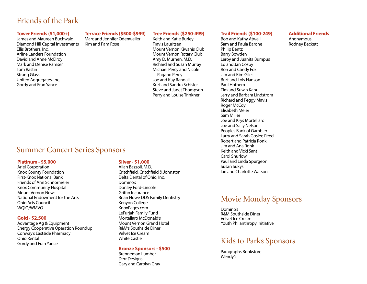### Friends of the Park

#### **Tower Friends (\$1,000+)**

James and Maureen Buchwald Diamond Hill Capital Investments Ellis Brothers, Inc. Arline Landers Foundation David and Anne McElroy Mark and Denise Ramser Tom Rastin Strang Glass United Aggregates, Inc. Gordy and Fran Yance

#### **Terrace Friends (\$500-\$999)**

Marc and Jennifer Odenweller Kim and Pam Rose

#### **Tree Friends (\$250-499)**

Keith and Katie Burley Travis Lauritsen Mount Vernon Kiwanis Club Mount Vernon Rotary Club Amy D. Murnen, M.D. Richard and Susan Murray Michael Percy and Nicole Pagano Percy Joe and Kay Randall Kurt and Sandra Schisler Steve and Janet Thompson Perry and Louise Trinkner

#### **Trail Friends (\$100-249)**

Bob and Kathy Atwell Sam and Paula Barone Philip Bentz Barry Bowden Leroy and Juanita Bumpus Ed and Jan Cosby Ron and Candy Fox Jim and Kim Giles Burt and Lois Hanson Paul Hothem Tim and Susan Kahrl Jerry and Barbara Lindstrom Richard and Peggy Mavis Roger McCoy Elisabeth Meier Sam Miller Joe and Krys Mortellaro Joe and Sally Nelson Peoples Bank of Gambier Larry and Sarah Goslee Reed Robert and Patricia Ronk Jim and Ana Ronk Keith and Vicki Sant Carol Shurlow Paul and Linda Spurgeon Susan Sukys Ian and Charlotte Watson

#### **Additional Friends**

Anonymous Rodney Beckett

### Summer Concert Series Sponsors

#### **Platinum - \$5,000**

Ariel Corporation Knox County Foundation First-Knox National Bank Friends of Ann Schnormeier Knox Community Hospital Mount Vernon News National Endowment for the Arts Ohio Arts Council WQIO/WMVO

#### **Gold - \$2,500**

Advantage Ag & Equipment Energy Cooperative Operation Roundup Conway's Eastside Pharmacy Ohio Rental Gordy and Fran Yance

#### **Silver - \$1,000**

Allan Bazzoli, M.D. Critchfield, Critchfield & Johnston Delta Dental of Ohio, Inc. Domino's Donley Ford-Lincoln Griffin Insurance Brian Howe DDS Family Dentistry Kenyon College KnoxPages.com LeFurjah Family Fund Mortellaro McDonald's Mount Vernon Grand Hotel R&M's Southside Diner Velvet Ice Cream White Castle

#### **Bronze Sponsors - \$500**

Brenneman Lumber Derr Designs Gary and Carolyn Gray

### Movie Monday Sponsors

Domino's R&M Southside Diner Velvet Ice Cream Youth Philanthropy Initiative

### Kids to Parks Sponsors

Paragraphs Bookstore Wendy's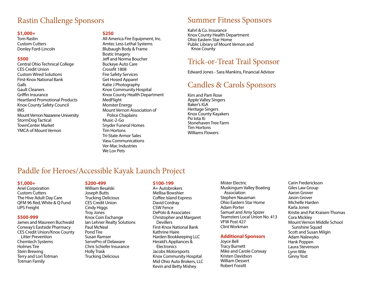### Rastin Challenge Sponsors

#### **\$1,000+**

Tom Rastin Custom Cutters Donley Ford-Lincoln

#### **\$500**

Central Ohio Technical College CES Credit Union Custom Wired Solutions FIrst-Knox National Bank Galls Gault Cleaners Griffin Insurance Heartland Promotional Products Knox County Safety Council IMS Mount Vernon Nazarene University StormDog Tactical TownCenter Market YMCA of Mount Vernon

#### **\$250**

All America Fire Equipment, Inc. Amtec Less-Lethal Systems Blubaugh Body & Frame Bostic Imagery Jeff and Norma Boucher Buckeye Auto Care Crossfit 1808 Fire Safety Services Get Hosed Apparel Katie J Photography Knox Community Hospital Knox County Health Department MedFlight Monster Energy Mount Vernon Association of Police Chaplains Music-2-Go Snyder Funeral Homes Tim Hortons Tri-State Armor Sales Vasu Communications Ver-Mac Industries We Lov Pets

## Summer Fitness Sponsors

Kahrl & Co. Insurance Knox County Health Department Ohio Eastern Star Home Public Library of Mount Vernon and Knox County

## Trick-or-Treat Trail Sponsor

Edward Jones - Sara Mankins, Financial Advisor

## Candles & Carols Sponsors

Kim and Pam Rose Apple Valley Singers Baker's IGA Heritage Singers Knox County Kayakers Psi Iota Xi Stonehaven Tree Farm Tim Hortons Williams Flowers

## Paddle for Heroes/Accessible Kayak Launch Project

#### **\$1,000+**

Ariel Corporation Custom Cutters The Hive Adult Day Care QFM 96 Red, White & Q Fund UPS Freight

#### **\$500-999**

James and Maureen Buchwald Conway's Eastside Pharmacy CES Credit Union/Knox County Litter Prevention Chemtech Systems Holmes Tire Stein Brewing Terry and Lori Totman Totman Family

#### **\$200-499**

William Besalski Joseph Butts Trucking Delicious CES Credit Union Cindy Higgs Troy Jones Knox Coin Exchange Ian Lehner Realty Solutions Paul McNeal Pond Tire Susan Ramser ServePro of Delaware Chris Schiefer Insurance Holly Trask Trucking Delicious

#### **\$100-199**

A+ Autobrokers Mellisa Bowshier Coffee Island Express David Cordray CSW Fence DePolo & Associates Christopher and Margaret **Devillers** First-Knox National Bank Kathrine Haire Harden Bookkeeping LLC Herald's Appliances & **Electronics** Jacobs Motorsports Knox Community Hospital Mid Ohio Auto Brokers, LLC Kevin and Betty Mishey

Mister Electric Muskingum Valley Boating Association Stephen Nauaman Ohio Eastern Star Home Adam Porter Samuel and Amy Spizer Teamsters Local Union No. 413 VFW Post 427 Clint Workman

#### **Additional Sponsors**

Joyce Bell Tracy Burnett Mike and Carole Conway Kristen Davidson William Dessert Robert Fossitt

Carin Frederickson Giles Law Group Aaron Grover Jason Grover Michelle Harden Karla Jones Kristie and Pat Kraisen-Thomas Cora Mickley Mount Vernon Middle School Sunshine Squad Scott and Susan Milgin Adam Nalewyko Hank Poppen Laura Stevenson Lynn Wile Ginny Yost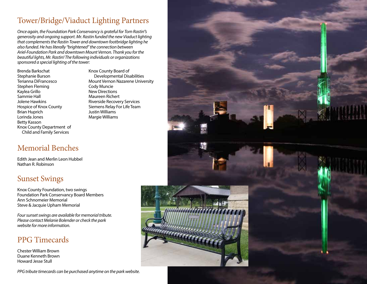## Tower/Bridge/Viaduct Lighting Partners

*Once again, the Foundation Park Conservancy is grateful for Tom Rastin''s generosity and ongoing support. Mr. Rastin funded the new Viaduct lighting that complements the Rastin Tower and downtown footbridge lighting he also funded. He has literally "brightened" the connection between Ariel-Foundation Park and downtown Mount Vernon. Thank you for the beautiful lights, Mr. Rastin! The following individuals or organizations sponsored a special lighting of the tower:*

Brenda Barkschat Stephanie Burson Terianna DiFrancesco Stephen Fleming Kaylea Grillo Sammie Hall Jolene Hawkins Hospice of Knox County Brian Huprich Lorinda Jones Betty Kasson Knox County Department of Child and Family Services

Knox County Board of Developmental Disabilities Mount Vernon Nazarene University Cody Muncie New Directions Maureen Richert Riverside Recovery Services Siemens Relay For Life Team Justin Williams Margie Williams

## Memorial Benches

Edith Jean and Merlin Leon Hubbel Nathan R. Robinson

## Sunset Swings

Knox County Foundation, two swings Foundation Park Conservancy Board Members Ann Schnomeier Memorial Steve & Jacquie Upham Memorial

*Four sunset swings are available for memorial tribute. Please contact Melanie Bolender or check the park website for more information.*

## PPG Timecards

Chester William Brown Duane Kenneth Brown Howard Jesse Stull

*PPG tribute timecards can be purchased anytime on the park website.*